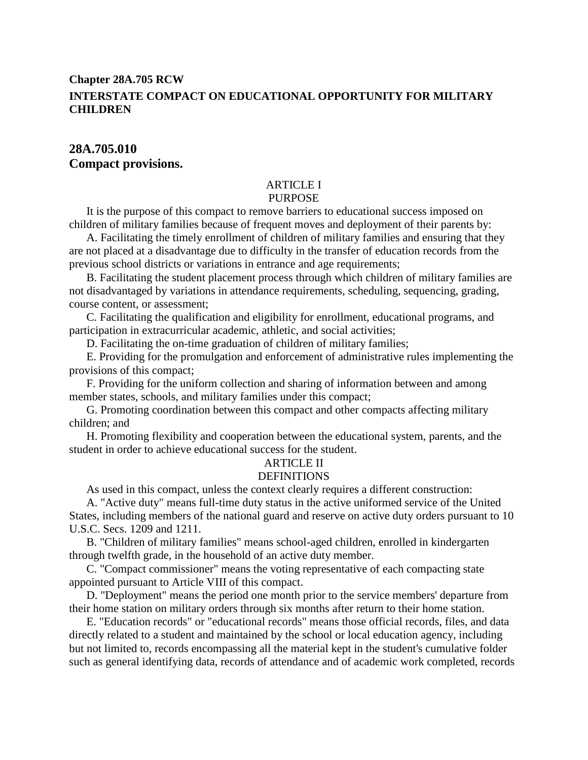# **Chapter 28A.705 RCW INTERSTATE COMPACT ON EDUCATIONAL OPPORTUNITY FOR MILITARY CHILDREN**

# **28A.705.010 Compact provisions.**

# ARTICLE I

# **PURPOSE**

It is the purpose of this compact to remove barriers to educational success imposed on children of military families because of frequent moves and deployment of their parents by:

A. Facilitating the timely enrollment of children of military families and ensuring that they are not placed at a disadvantage due to difficulty in the transfer of education records from the previous school districts or variations in entrance and age requirements;

B. Facilitating the student placement process through which children of military families are not disadvantaged by variations in attendance requirements, scheduling, sequencing, grading, course content, or assessment;

C. Facilitating the qualification and eligibility for enrollment, educational programs, and participation in extracurricular academic, athletic, and social activities;

D. Facilitating the on-time graduation of children of military families;

E. Providing for the promulgation and enforcement of administrative rules implementing the provisions of this compact;

F. Providing for the uniform collection and sharing of information between and among member states, schools, and military families under this compact;

G. Promoting coordination between this compact and other compacts affecting military children; and

H. Promoting flexibility and cooperation between the educational system, parents, and the student in order to achieve educational success for the student.

# ARTICLE II

# **DEFINITIONS**

As used in this compact, unless the context clearly requires a different construction:

A. "Active duty" means full-time duty status in the active uniformed service of the United States, including members of the national guard and reserve on active duty orders pursuant to 10 U.S.C. Secs. 1209 and 1211.

B. "Children of military families" means school-aged children, enrolled in kindergarten through twelfth grade, in the household of an active duty member.

C. "Compact commissioner" means the voting representative of each compacting state appointed pursuant to Article VIII of this compact.

D. "Deployment" means the period one month prior to the service members' departure from their home station on military orders through six months after return to their home station.

E. "Education records" or "educational records" means those official records, files, and data directly related to a student and maintained by the school or local education agency, including but not limited to, records encompassing all the material kept in the student's cumulative folder such as general identifying data, records of attendance and of academic work completed, records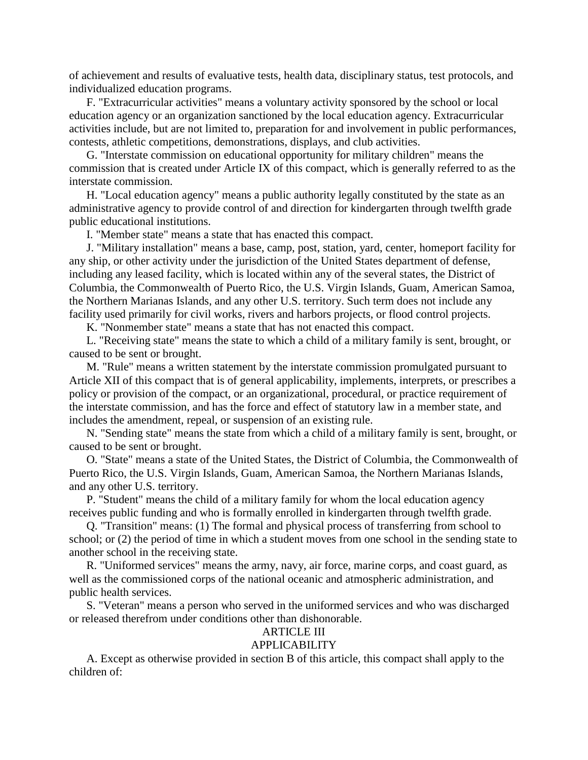of achievement and results of evaluative tests, health data, disciplinary status, test protocols, and individualized education programs.

F. "Extracurricular activities" means a voluntary activity sponsored by the school or local education agency or an organization sanctioned by the local education agency. Extracurricular activities include, but are not limited to, preparation for and involvement in public performances, contests, athletic competitions, demonstrations, displays, and club activities.

G. "Interstate commission on educational opportunity for military children" means the commission that is created under Article IX of this compact, which is generally referred to as the interstate commission.

H. "Local education agency" means a public authority legally constituted by the state as an administrative agency to provide control of and direction for kindergarten through twelfth grade public educational institutions.

I. "Member state" means a state that has enacted this compact.

J. "Military installation" means a base, camp, post, station, yard, center, homeport facility for any ship, or other activity under the jurisdiction of the United States department of defense, including any leased facility, which is located within any of the several states, the District of Columbia, the Commonwealth of Puerto Rico, the U.S. Virgin Islands, Guam, American Samoa, the Northern Marianas Islands, and any other U.S. territory. Such term does not include any facility used primarily for civil works, rivers and harbors projects, or flood control projects.

K. "Nonmember state" means a state that has not enacted this compact.

L. "Receiving state" means the state to which a child of a military family is sent, brought, or caused to be sent or brought.

M. "Rule" means a written statement by the interstate commission promulgated pursuant to Article XII of this compact that is of general applicability, implements, interprets, or prescribes a policy or provision of the compact, or an organizational, procedural, or practice requirement of the interstate commission, and has the force and effect of statutory law in a member state, and includes the amendment, repeal, or suspension of an existing rule.

N. "Sending state" means the state from which a child of a military family is sent, brought, or caused to be sent or brought.

O. "State" means a state of the United States, the District of Columbia, the Commonwealth of Puerto Rico, the U.S. Virgin Islands, Guam, American Samoa, the Northern Marianas Islands, and any other U.S. territory.

P. "Student" means the child of a military family for whom the local education agency receives public funding and who is formally enrolled in kindergarten through twelfth grade.

Q. "Transition" means: (1) The formal and physical process of transferring from school to school; or (2) the period of time in which a student moves from one school in the sending state to another school in the receiving state.

R. "Uniformed services" means the army, navy, air force, marine corps, and coast guard, as well as the commissioned corps of the national oceanic and atmospheric administration, and public health services.

S. "Veteran" means a person who served in the uniformed services and who was discharged or released therefrom under conditions other than dishonorable.

#### ARTICLE III

#### APPLICABILITY

A. Except as otherwise provided in section B of this article, this compact shall apply to the children of: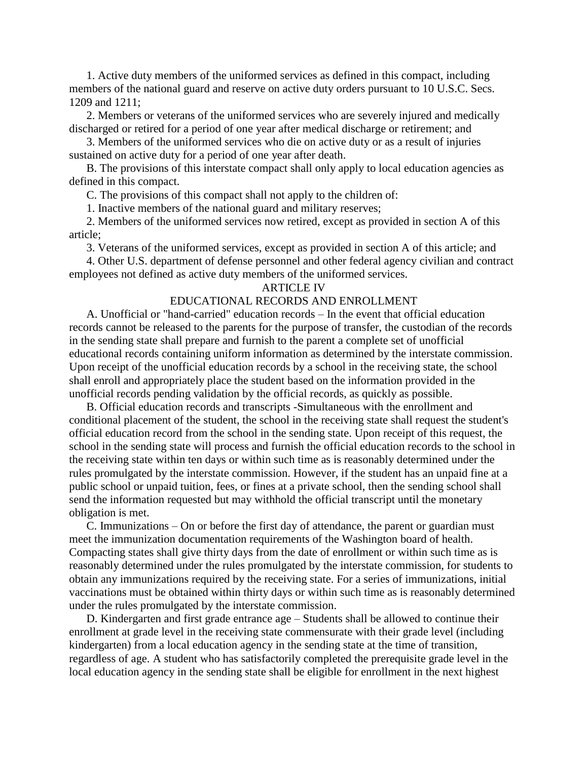1. Active duty members of the uniformed services as defined in this compact, including members of the national guard and reserve on active duty orders pursuant to 10 U.S.C. Secs. 1209 and 1211;

2. Members or veterans of the uniformed services who are severely injured and medically discharged or retired for a period of one year after medical discharge or retirement; and

3. Members of the uniformed services who die on active duty or as a result of injuries sustained on active duty for a period of one year after death.

B. The provisions of this interstate compact shall only apply to local education agencies as defined in this compact.

C. The provisions of this compact shall not apply to the children of:

1. Inactive members of the national guard and military reserves;

2. Members of the uniformed services now retired, except as provided in section A of this article;

3. Veterans of the uniformed services, except as provided in section A of this article; and

4. Other U.S. department of defense personnel and other federal agency civilian and contract employees not defined as active duty members of the uniformed services.

### ARTICLE IV

# EDUCATIONAL RECORDS AND ENROLLMENT

A. Unofficial or "hand-carried" education records – In the event that official education records cannot be released to the parents for the purpose of transfer, the custodian of the records in the sending state shall prepare and furnish to the parent a complete set of unofficial educational records containing uniform information as determined by the interstate commission. Upon receipt of the unofficial education records by a school in the receiving state, the school shall enroll and appropriately place the student based on the information provided in the unofficial records pending validation by the official records, as quickly as possible.

B. Official education records and transcripts -Simultaneous with the enrollment and conditional placement of the student, the school in the receiving state shall request the student's official education record from the school in the sending state. Upon receipt of this request, the school in the sending state will process and furnish the official education records to the school in the receiving state within ten days or within such time as is reasonably determined under the rules promulgated by the interstate commission. However, if the student has an unpaid fine at a public school or unpaid tuition, fees, or fines at a private school, then the sending school shall send the information requested but may withhold the official transcript until the monetary obligation is met.

C. Immunizations – On or before the first day of attendance, the parent or guardian must meet the immunization documentation requirements of the Washington board of health. Compacting states shall give thirty days from the date of enrollment or within such time as is reasonably determined under the rules promulgated by the interstate commission, for students to obtain any immunizations required by the receiving state. For a series of immunizations, initial vaccinations must be obtained within thirty days or within such time as is reasonably determined under the rules promulgated by the interstate commission.

D. Kindergarten and first grade entrance age – Students shall be allowed to continue their enrollment at grade level in the receiving state commensurate with their grade level (including kindergarten) from a local education agency in the sending state at the time of transition, regardless of age. A student who has satisfactorily completed the prerequisite grade level in the local education agency in the sending state shall be eligible for enrollment in the next highest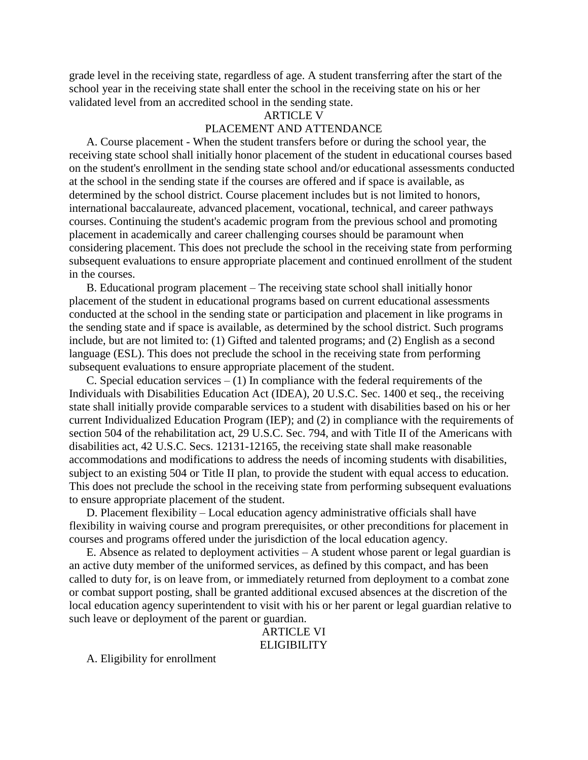grade level in the receiving state, regardless of age. A student transferring after the start of the school year in the receiving state shall enter the school in the receiving state on his or her validated level from an accredited school in the sending state.

## ARTICLE V

# PLACEMENT AND ATTENDANCE

A. Course placement - When the student transfers before or during the school year, the receiving state school shall initially honor placement of the student in educational courses based on the student's enrollment in the sending state school and/or educational assessments conducted at the school in the sending state if the courses are offered and if space is available, as determined by the school district. Course placement includes but is not limited to honors, international baccalaureate, advanced placement, vocational, technical, and career pathways courses. Continuing the student's academic program from the previous school and promoting placement in academically and career challenging courses should be paramount when considering placement. This does not preclude the school in the receiving state from performing subsequent evaluations to ensure appropriate placement and continued enrollment of the student in the courses.

B. Educational program placement – The receiving state school shall initially honor placement of the student in educational programs based on current educational assessments conducted at the school in the sending state or participation and placement in like programs in the sending state and if space is available, as determined by the school district. Such programs include, but are not limited to: (1) Gifted and talented programs; and (2) English as a second language (ESL). This does not preclude the school in the receiving state from performing subsequent evaluations to ensure appropriate placement of the student.

C. Special education services  $- (1)$  In compliance with the federal requirements of the Individuals with Disabilities Education Act (IDEA), 20 U.S.C. Sec. 1400 et seq., the receiving state shall initially provide comparable services to a student with disabilities based on his or her current Individualized Education Program (IEP); and (2) in compliance with the requirements of section 504 of the rehabilitation act, 29 U.S.C. Sec. 794, and with Title II of the Americans with disabilities act, 42 U.S.C. Secs. 12131-12165, the receiving state shall make reasonable accommodations and modifications to address the needs of incoming students with disabilities, subject to an existing 504 or Title II plan, to provide the student with equal access to education. This does not preclude the school in the receiving state from performing subsequent evaluations to ensure appropriate placement of the student.

D. Placement flexibility – Local education agency administrative officials shall have flexibility in waiving course and program prerequisites, or other preconditions for placement in courses and programs offered under the jurisdiction of the local education agency.

E. Absence as related to deployment activities – A student whose parent or legal guardian is an active duty member of the uniformed services, as defined by this compact, and has been called to duty for, is on leave from, or immediately returned from deployment to a combat zone or combat support posting, shall be granted additional excused absences at the discretion of the local education agency superintendent to visit with his or her parent or legal guardian relative to such leave or deployment of the parent or guardian.

ARTICLE VI **ELIGIBILITY** 

A. Eligibility for enrollment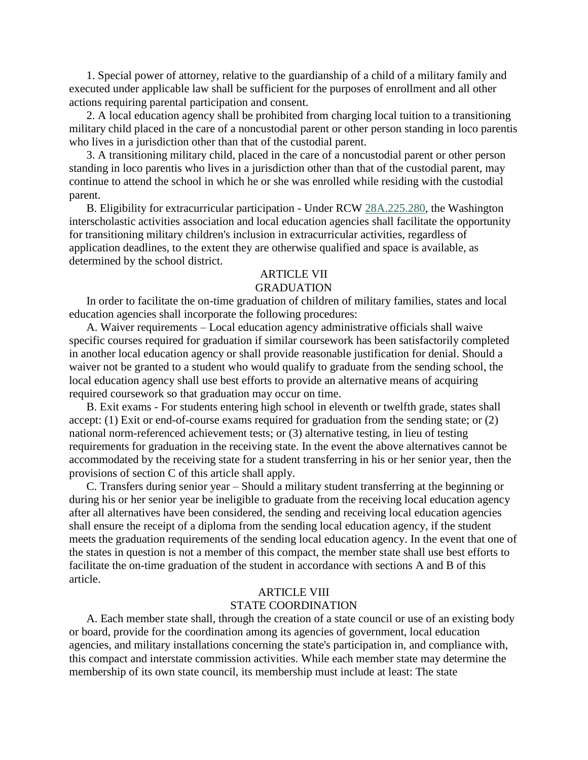1. Special power of attorney, relative to the guardianship of a child of a military family and executed under applicable law shall be sufficient for the purposes of enrollment and all other actions requiring parental participation and consent.

2. A local education agency shall be prohibited from charging local tuition to a transitioning military child placed in the care of a noncustodial parent or other person standing in loco parentis who lives in a jurisdiction other than that of the custodial parent.

3. A transitioning military child, placed in the care of a noncustodial parent or other person standing in loco parentis who lives in a jurisdiction other than that of the custodial parent, may continue to attend the school in which he or she was enrolled while residing with the custodial parent.

B. Eligibility for extracurricular participation - Under RCW [28A.225.280,](http://app.leg.wa.gov/RCW/default.aspx?cite=28A.225.280) the Washington interscholastic activities association and local education agencies shall facilitate the opportunity for transitioning military children's inclusion in extracurricular activities, regardless of application deadlines, to the extent they are otherwise qualified and space is available, as determined by the school district.

# ARTICLE VII

#### GRADUATION

In order to facilitate the on-time graduation of children of military families, states and local education agencies shall incorporate the following procedures:

A. Waiver requirements – Local education agency administrative officials shall waive specific courses required for graduation if similar coursework has been satisfactorily completed in another local education agency or shall provide reasonable justification for denial. Should a waiver not be granted to a student who would qualify to graduate from the sending school, the local education agency shall use best efforts to provide an alternative means of acquiring required coursework so that graduation may occur on time.

B. Exit exams - For students entering high school in eleventh or twelfth grade, states shall accept: (1) Exit or end-of-course exams required for graduation from the sending state; or (2) national norm-referenced achievement tests; or (3) alternative testing, in lieu of testing requirements for graduation in the receiving state. In the event the above alternatives cannot be accommodated by the receiving state for a student transferring in his or her senior year, then the provisions of section C of this article shall apply.

C. Transfers during senior year – Should a military student transferring at the beginning or during his or her senior year be ineligible to graduate from the receiving local education agency after all alternatives have been considered, the sending and receiving local education agencies shall ensure the receipt of a diploma from the sending local education agency, if the student meets the graduation requirements of the sending local education agency. In the event that one of the states in question is not a member of this compact, the member state shall use best efforts to facilitate the on-time graduation of the student in accordance with sections A and B of this article.

# ARTICLE VIII STATE COORDINATION

A. Each member state shall, through the creation of a state council or use of an existing body or board, provide for the coordination among its agencies of government, local education agencies, and military installations concerning the state's participation in, and compliance with, this compact and interstate commission activities. While each member state may determine the membership of its own state council, its membership must include at least: The state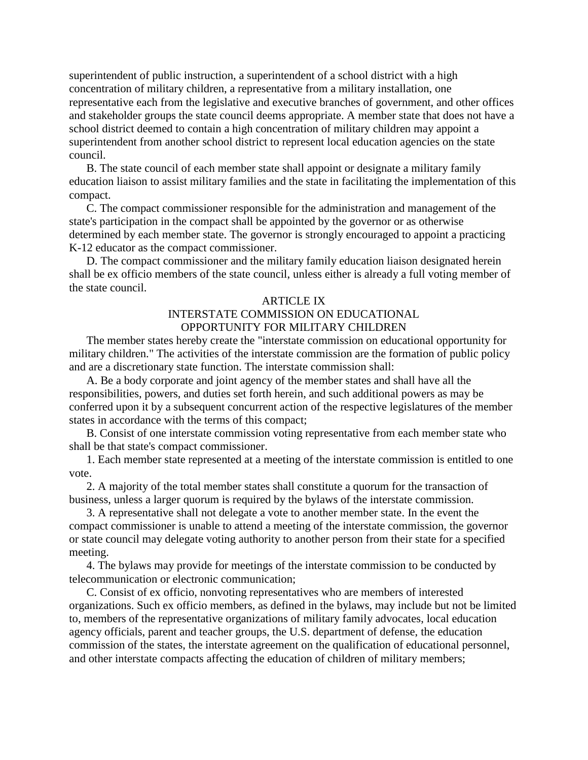superintendent of public instruction, a superintendent of a school district with a high concentration of military children, a representative from a military installation, one representative each from the legislative and executive branches of government, and other offices and stakeholder groups the state council deems appropriate. A member state that does not have a school district deemed to contain a high concentration of military children may appoint a superintendent from another school district to represent local education agencies on the state council.

B. The state council of each member state shall appoint or designate a military family education liaison to assist military families and the state in facilitating the implementation of this compact.

C. The compact commissioner responsible for the administration and management of the state's participation in the compact shall be appointed by the governor or as otherwise determined by each member state. The governor is strongly encouraged to appoint a practicing K-12 educator as the compact commissioner.

D. The compact commissioner and the military family education liaison designated herein shall be ex officio members of the state council, unless either is already a full voting member of the state council.

#### ARTICLE IX

# INTERSTATE COMMISSION ON EDUCATIONAL OPPORTUNITY FOR MILITARY CHILDREN

The member states hereby create the "interstate commission on educational opportunity for military children." The activities of the interstate commission are the formation of public policy and are a discretionary state function. The interstate commission shall:

A. Be a body corporate and joint agency of the member states and shall have all the responsibilities, powers, and duties set forth herein, and such additional powers as may be conferred upon it by a subsequent concurrent action of the respective legislatures of the member states in accordance with the terms of this compact;

B. Consist of one interstate commission voting representative from each member state who shall be that state's compact commissioner.

1. Each member state represented at a meeting of the interstate commission is entitled to one vote.

2. A majority of the total member states shall constitute a quorum for the transaction of business, unless a larger quorum is required by the bylaws of the interstate commission.

3. A representative shall not delegate a vote to another member state. In the event the compact commissioner is unable to attend a meeting of the interstate commission, the governor or state council may delegate voting authority to another person from their state for a specified meeting.

4. The bylaws may provide for meetings of the interstate commission to be conducted by telecommunication or electronic communication;

C. Consist of ex officio, nonvoting representatives who are members of interested organizations. Such ex officio members, as defined in the bylaws, may include but not be limited to, members of the representative organizations of military family advocates, local education agency officials, parent and teacher groups, the U.S. department of defense, the education commission of the states, the interstate agreement on the qualification of educational personnel, and other interstate compacts affecting the education of children of military members;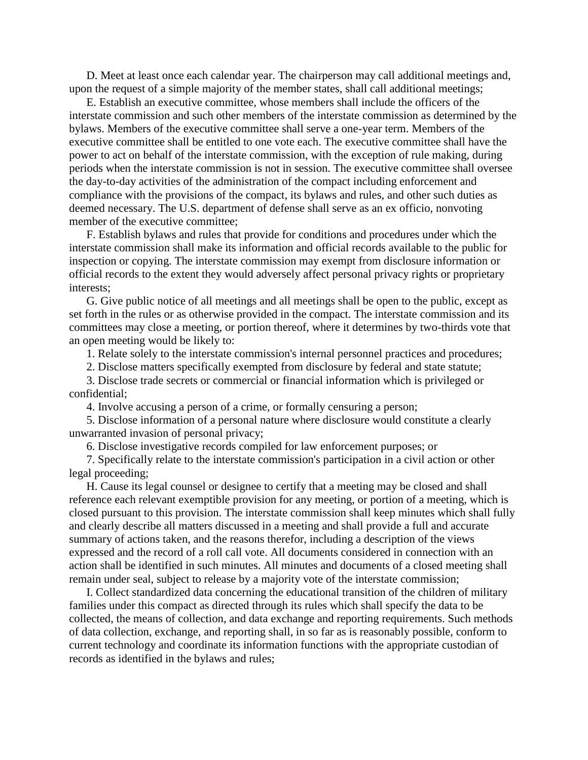D. Meet at least once each calendar year. The chairperson may call additional meetings and, upon the request of a simple majority of the member states, shall call additional meetings;

E. Establish an executive committee, whose members shall include the officers of the interstate commission and such other members of the interstate commission as determined by the bylaws. Members of the executive committee shall serve a one-year term. Members of the executive committee shall be entitled to one vote each. The executive committee shall have the power to act on behalf of the interstate commission, with the exception of rule making, during periods when the interstate commission is not in session. The executive committee shall oversee the day-to-day activities of the administration of the compact including enforcement and compliance with the provisions of the compact, its bylaws and rules, and other such duties as deemed necessary. The U.S. department of defense shall serve as an ex officio, nonvoting member of the executive committee;

F. Establish bylaws and rules that provide for conditions and procedures under which the interstate commission shall make its information and official records available to the public for inspection or copying. The interstate commission may exempt from disclosure information or official records to the extent they would adversely affect personal privacy rights or proprietary interests;

G. Give public notice of all meetings and all meetings shall be open to the public, except as set forth in the rules or as otherwise provided in the compact. The interstate commission and its committees may close a meeting, or portion thereof, where it determines by two-thirds vote that an open meeting would be likely to:

1. Relate solely to the interstate commission's internal personnel practices and procedures;

2. Disclose matters specifically exempted from disclosure by federal and state statute;

3. Disclose trade secrets or commercial or financial information which is privileged or confidential;

4. Involve accusing a person of a crime, or formally censuring a person;

5. Disclose information of a personal nature where disclosure would constitute a clearly unwarranted invasion of personal privacy;

6. Disclose investigative records compiled for law enforcement purposes; or

7. Specifically relate to the interstate commission's participation in a civil action or other legal proceeding;

H. Cause its legal counsel or designee to certify that a meeting may be closed and shall reference each relevant exemptible provision for any meeting, or portion of a meeting, which is closed pursuant to this provision. The interstate commission shall keep minutes which shall fully and clearly describe all matters discussed in a meeting and shall provide a full and accurate summary of actions taken, and the reasons therefor, including a description of the views expressed and the record of a roll call vote. All documents considered in connection with an action shall be identified in such minutes. All minutes and documents of a closed meeting shall remain under seal, subject to release by a majority vote of the interstate commission;

I. Collect standardized data concerning the educational transition of the children of military families under this compact as directed through its rules which shall specify the data to be collected, the means of collection, and data exchange and reporting requirements. Such methods of data collection, exchange, and reporting shall, in so far as is reasonably possible, conform to current technology and coordinate its information functions with the appropriate custodian of records as identified in the bylaws and rules;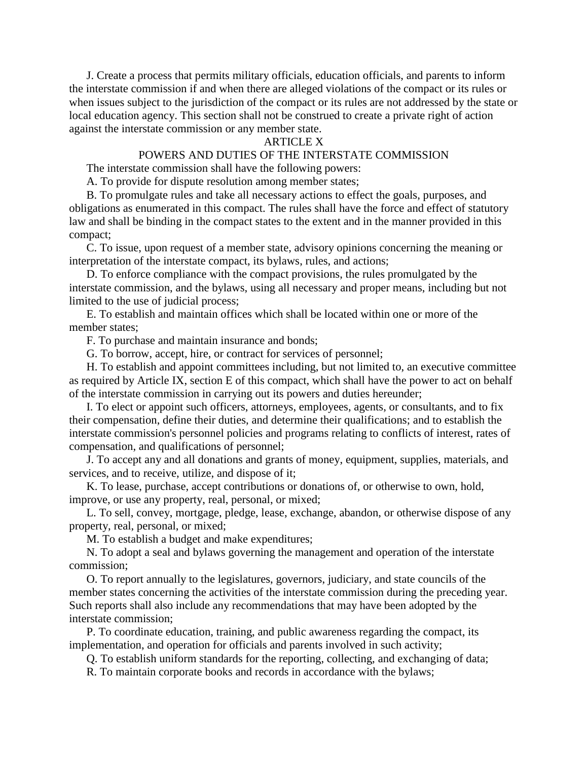J. Create a process that permits military officials, education officials, and parents to inform the interstate commission if and when there are alleged violations of the compact or its rules or when issues subject to the jurisdiction of the compact or its rules are not addressed by the state or local education agency. This section shall not be construed to create a private right of action against the interstate commission or any member state.

# ARTICLE X

### POWERS AND DUTIES OF THE INTERSTATE COMMISSION

The interstate commission shall have the following powers:

A. To provide for dispute resolution among member states;

B. To promulgate rules and take all necessary actions to effect the goals, purposes, and obligations as enumerated in this compact. The rules shall have the force and effect of statutory law and shall be binding in the compact states to the extent and in the manner provided in this compact;

C. To issue, upon request of a member state, advisory opinions concerning the meaning or interpretation of the interstate compact, its bylaws, rules, and actions;

D. To enforce compliance with the compact provisions, the rules promulgated by the interstate commission, and the bylaws, using all necessary and proper means, including but not limited to the use of judicial process;

E. To establish and maintain offices which shall be located within one or more of the member states;

F. To purchase and maintain insurance and bonds;

G. To borrow, accept, hire, or contract for services of personnel;

H. To establish and appoint committees including, but not limited to, an executive committee as required by Article IX, section E of this compact, which shall have the power to act on behalf of the interstate commission in carrying out its powers and duties hereunder;

I. To elect or appoint such officers, attorneys, employees, agents, or consultants, and to fix their compensation, define their duties, and determine their qualifications; and to establish the interstate commission's personnel policies and programs relating to conflicts of interest, rates of compensation, and qualifications of personnel;

J. To accept any and all donations and grants of money, equipment, supplies, materials, and services, and to receive, utilize, and dispose of it;

K. To lease, purchase, accept contributions or donations of, or otherwise to own, hold, improve, or use any property, real, personal, or mixed;

L. To sell, convey, mortgage, pledge, lease, exchange, abandon, or otherwise dispose of any property, real, personal, or mixed;

M. To establish a budget and make expenditures;

N. To adopt a seal and bylaws governing the management and operation of the interstate commission;

O. To report annually to the legislatures, governors, judiciary, and state councils of the member states concerning the activities of the interstate commission during the preceding year. Such reports shall also include any recommendations that may have been adopted by the interstate commission;

P. To coordinate education, training, and public awareness regarding the compact, its implementation, and operation for officials and parents involved in such activity;

Q. To establish uniform standards for the reporting, collecting, and exchanging of data;

R. To maintain corporate books and records in accordance with the bylaws;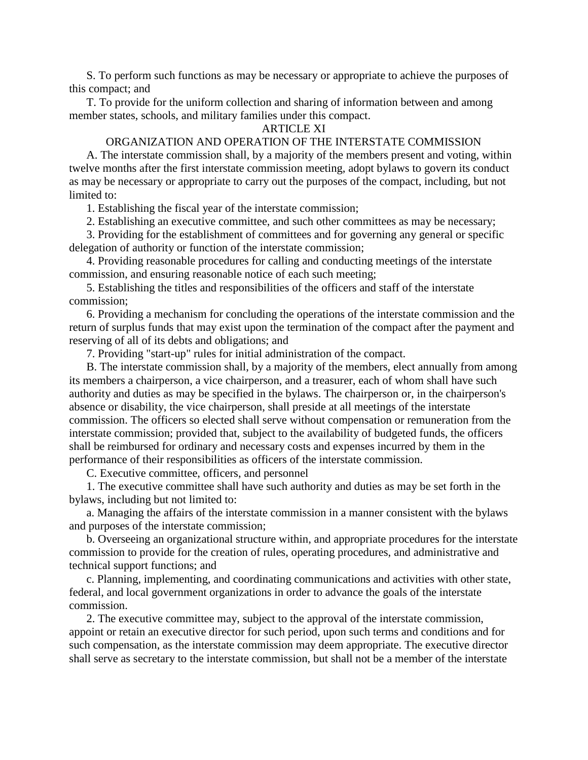S. To perform such functions as may be necessary or appropriate to achieve the purposes of this compact; and

T. To provide for the uniform collection and sharing of information between and among member states, schools, and military families under this compact.

## ARTICLE XI

### ORGANIZATION AND OPERATION OF THE INTERSTATE COMMISSION

A. The interstate commission shall, by a majority of the members present and voting, within twelve months after the first interstate commission meeting, adopt bylaws to govern its conduct as may be necessary or appropriate to carry out the purposes of the compact, including, but not limited to:

1. Establishing the fiscal year of the interstate commission;

2. Establishing an executive committee, and such other committees as may be necessary;

3. Providing for the establishment of committees and for governing any general or specific delegation of authority or function of the interstate commission;

4. Providing reasonable procedures for calling and conducting meetings of the interstate commission, and ensuring reasonable notice of each such meeting;

5. Establishing the titles and responsibilities of the officers and staff of the interstate commission;

6. Providing a mechanism for concluding the operations of the interstate commission and the return of surplus funds that may exist upon the termination of the compact after the payment and reserving of all of its debts and obligations; and

7. Providing "start-up" rules for initial administration of the compact.

B. The interstate commission shall, by a majority of the members, elect annually from among its members a chairperson, a vice chairperson, and a treasurer, each of whom shall have such authority and duties as may be specified in the bylaws. The chairperson or, in the chairperson's absence or disability, the vice chairperson, shall preside at all meetings of the interstate commission. The officers so elected shall serve without compensation or remuneration from the interstate commission; provided that, subject to the availability of budgeted funds, the officers shall be reimbursed for ordinary and necessary costs and expenses incurred by them in the performance of their responsibilities as officers of the interstate commission.

C. Executive committee, officers, and personnel

1. The executive committee shall have such authority and duties as may be set forth in the bylaws, including but not limited to:

a. Managing the affairs of the interstate commission in a manner consistent with the bylaws and purposes of the interstate commission;

b. Overseeing an organizational structure within, and appropriate procedures for the interstate commission to provide for the creation of rules, operating procedures, and administrative and technical support functions; and

c. Planning, implementing, and coordinating communications and activities with other state, federal, and local government organizations in order to advance the goals of the interstate commission.

2. The executive committee may, subject to the approval of the interstate commission, appoint or retain an executive director for such period, upon such terms and conditions and for such compensation, as the interstate commission may deem appropriate. The executive director shall serve as secretary to the interstate commission, but shall not be a member of the interstate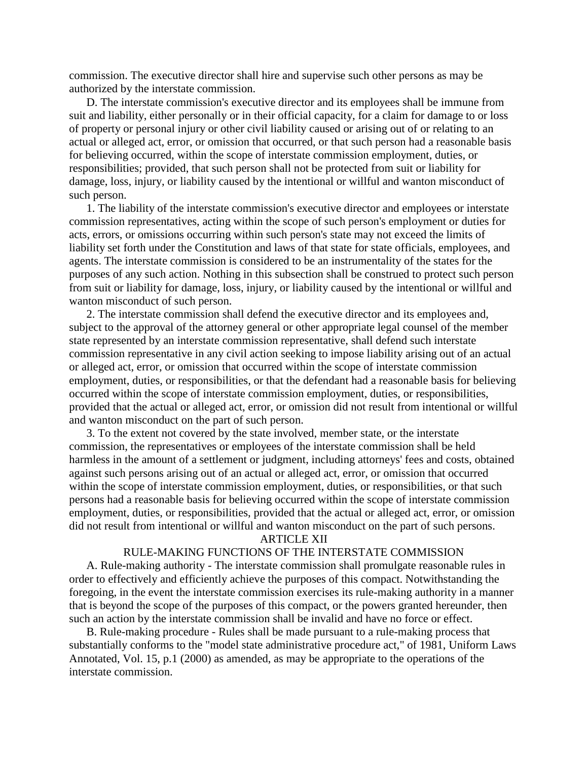commission. The executive director shall hire and supervise such other persons as may be authorized by the interstate commission.

D. The interstate commission's executive director and its employees shall be immune from suit and liability, either personally or in their official capacity, for a claim for damage to or loss of property or personal injury or other civil liability caused or arising out of or relating to an actual or alleged act, error, or omission that occurred, or that such person had a reasonable basis for believing occurred, within the scope of interstate commission employment, duties, or responsibilities; provided, that such person shall not be protected from suit or liability for damage, loss, injury, or liability caused by the intentional or willful and wanton misconduct of such person.

1. The liability of the interstate commission's executive director and employees or interstate commission representatives, acting within the scope of such person's employment or duties for acts, errors, or omissions occurring within such person's state may not exceed the limits of liability set forth under the Constitution and laws of that state for state officials, employees, and agents. The interstate commission is considered to be an instrumentality of the states for the purposes of any such action. Nothing in this subsection shall be construed to protect such person from suit or liability for damage, loss, injury, or liability caused by the intentional or willful and wanton misconduct of such person.

2. The interstate commission shall defend the executive director and its employees and, subject to the approval of the attorney general or other appropriate legal counsel of the member state represented by an interstate commission representative, shall defend such interstate commission representative in any civil action seeking to impose liability arising out of an actual or alleged act, error, or omission that occurred within the scope of interstate commission employment, duties, or responsibilities, or that the defendant had a reasonable basis for believing occurred within the scope of interstate commission employment, duties, or responsibilities, provided that the actual or alleged act, error, or omission did not result from intentional or willful and wanton misconduct on the part of such person.

3. To the extent not covered by the state involved, member state, or the interstate commission, the representatives or employees of the interstate commission shall be held harmless in the amount of a settlement or judgment, including attorneys' fees and costs, obtained against such persons arising out of an actual or alleged act, error, or omission that occurred within the scope of interstate commission employment, duties, or responsibilities, or that such persons had a reasonable basis for believing occurred within the scope of interstate commission employment, duties, or responsibilities, provided that the actual or alleged act, error, or omission did not result from intentional or willful and wanton misconduct on the part of such persons.

#### ARTICLE XII

### RULE-MAKING FUNCTIONS OF THE INTERSTATE COMMISSION

A. Rule-making authority - The interstate commission shall promulgate reasonable rules in order to effectively and efficiently achieve the purposes of this compact. Notwithstanding the foregoing, in the event the interstate commission exercises its rule-making authority in a manner that is beyond the scope of the purposes of this compact, or the powers granted hereunder, then such an action by the interstate commission shall be invalid and have no force or effect.

B. Rule-making procedure - Rules shall be made pursuant to a rule-making process that substantially conforms to the "model state administrative procedure act," of 1981, Uniform Laws Annotated, Vol. 15, p.1 (2000) as amended, as may be appropriate to the operations of the interstate commission.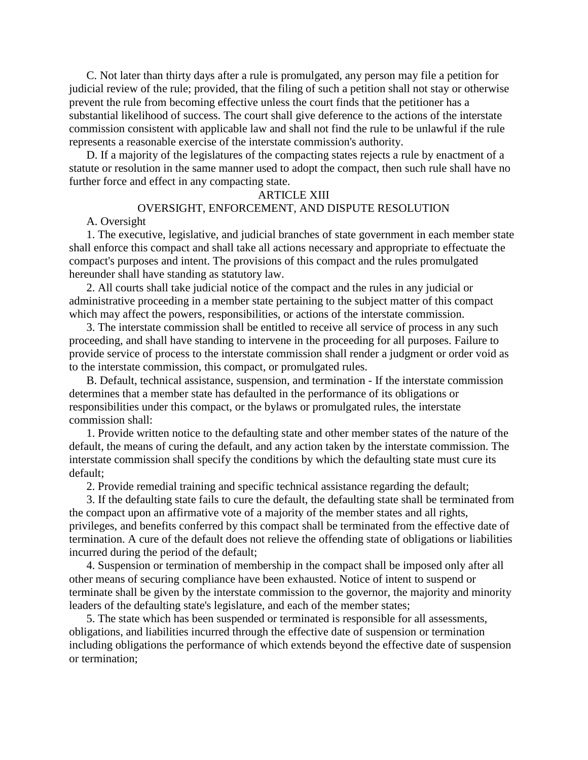C. Not later than thirty days after a rule is promulgated, any person may file a petition for judicial review of the rule; provided, that the filing of such a petition shall not stay or otherwise prevent the rule from becoming effective unless the court finds that the petitioner has a substantial likelihood of success. The court shall give deference to the actions of the interstate commission consistent with applicable law and shall not find the rule to be unlawful if the rule represents a reasonable exercise of the interstate commission's authority.

D. If a majority of the legislatures of the compacting states rejects a rule by enactment of a statute or resolution in the same manner used to adopt the compact, then such rule shall have no further force and effect in any compacting state.

#### ARTICLE XIII

# OVERSIGHT, ENFORCEMENT, AND DISPUTE RESOLUTION

#### A. Oversight

1. The executive, legislative, and judicial branches of state government in each member state shall enforce this compact and shall take all actions necessary and appropriate to effectuate the compact's purposes and intent. The provisions of this compact and the rules promulgated hereunder shall have standing as statutory law.

2. All courts shall take judicial notice of the compact and the rules in any judicial or administrative proceeding in a member state pertaining to the subject matter of this compact which may affect the powers, responsibilities, or actions of the interstate commission.

3. The interstate commission shall be entitled to receive all service of process in any such proceeding, and shall have standing to intervene in the proceeding for all purposes. Failure to provide service of process to the interstate commission shall render a judgment or order void as to the interstate commission, this compact, or promulgated rules.

B. Default, technical assistance, suspension, and termination - If the interstate commission determines that a member state has defaulted in the performance of its obligations or responsibilities under this compact, or the bylaws or promulgated rules, the interstate commission shall:

1. Provide written notice to the defaulting state and other member states of the nature of the default, the means of curing the default, and any action taken by the interstate commission. The interstate commission shall specify the conditions by which the defaulting state must cure its default;

2. Provide remedial training and specific technical assistance regarding the default;

3. If the defaulting state fails to cure the default, the defaulting state shall be terminated from the compact upon an affirmative vote of a majority of the member states and all rights, privileges, and benefits conferred by this compact shall be terminated from the effective date of termination. A cure of the default does not relieve the offending state of obligations or liabilities incurred during the period of the default;

4. Suspension or termination of membership in the compact shall be imposed only after all other means of securing compliance have been exhausted. Notice of intent to suspend or terminate shall be given by the interstate commission to the governor, the majority and minority leaders of the defaulting state's legislature, and each of the member states;

5. The state which has been suspended or terminated is responsible for all assessments, obligations, and liabilities incurred through the effective date of suspension or termination including obligations the performance of which extends beyond the effective date of suspension or termination;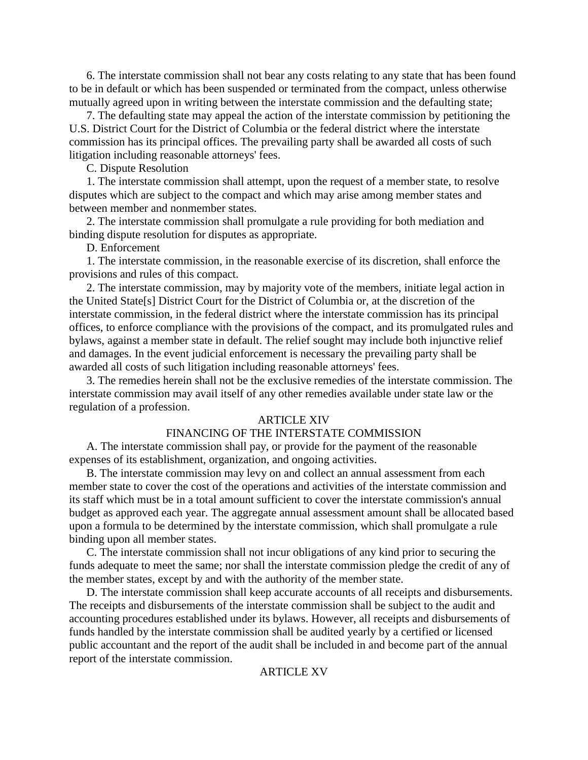6. The interstate commission shall not bear any costs relating to any state that has been found to be in default or which has been suspended or terminated from the compact, unless otherwise mutually agreed upon in writing between the interstate commission and the defaulting state;

7. The defaulting state may appeal the action of the interstate commission by petitioning the U.S. District Court for the District of Columbia or the federal district where the interstate commission has its principal offices. The prevailing party shall be awarded all costs of such litigation including reasonable attorneys' fees.

C. Dispute Resolution

1. The interstate commission shall attempt, upon the request of a member state, to resolve disputes which are subject to the compact and which may arise among member states and between member and nonmember states.

2. The interstate commission shall promulgate a rule providing for both mediation and binding dispute resolution for disputes as appropriate.

D. Enforcement

1. The interstate commission, in the reasonable exercise of its discretion, shall enforce the provisions and rules of this compact.

2. The interstate commission, may by majority vote of the members, initiate legal action in the United State[s] District Court for the District of Columbia or, at the discretion of the interstate commission, in the federal district where the interstate commission has its principal offices, to enforce compliance with the provisions of the compact, and its promulgated rules and bylaws, against a member state in default. The relief sought may include both injunctive relief and damages. In the event judicial enforcement is necessary the prevailing party shall be awarded all costs of such litigation including reasonable attorneys' fees.

3. The remedies herein shall not be the exclusive remedies of the interstate commission. The interstate commission may avail itself of any other remedies available under state law or the regulation of a profession.

#### ARTICLE XIV

# FINANCING OF THE INTERSTATE COMMISSION

A. The interstate commission shall pay, or provide for the payment of the reasonable expenses of its establishment, organization, and ongoing activities.

B. The interstate commission may levy on and collect an annual assessment from each member state to cover the cost of the operations and activities of the interstate commission and its staff which must be in a total amount sufficient to cover the interstate commission's annual budget as approved each year. The aggregate annual assessment amount shall be allocated based upon a formula to be determined by the interstate commission, which shall promulgate a rule binding upon all member states.

C. The interstate commission shall not incur obligations of any kind prior to securing the funds adequate to meet the same; nor shall the interstate commission pledge the credit of any of the member states, except by and with the authority of the member state.

D. The interstate commission shall keep accurate accounts of all receipts and disbursements. The receipts and disbursements of the interstate commission shall be subject to the audit and accounting procedures established under its bylaws. However, all receipts and disbursements of funds handled by the interstate commission shall be audited yearly by a certified or licensed public accountant and the report of the audit shall be included in and become part of the annual report of the interstate commission.

#### ARTICLE XV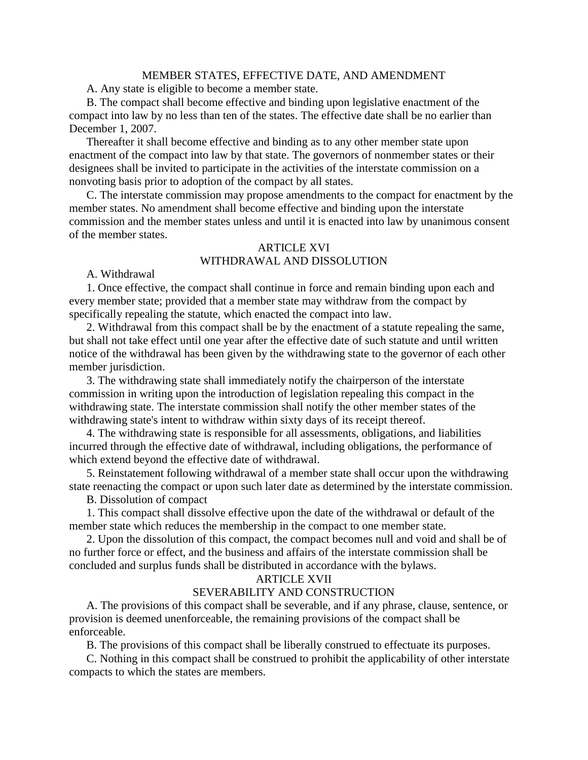#### MEMBER STATES, EFFECTIVE DATE, AND AMENDMENT

A. Any state is eligible to become a member state.

B. The compact shall become effective and binding upon legislative enactment of the compact into law by no less than ten of the states. The effective date shall be no earlier than December 1, 2007.

Thereafter it shall become effective and binding as to any other member state upon enactment of the compact into law by that state. The governors of nonmember states or their designees shall be invited to participate in the activities of the interstate commission on a nonvoting basis prior to adoption of the compact by all states.

C. The interstate commission may propose amendments to the compact for enactment by the member states. No amendment shall become effective and binding upon the interstate commission and the member states unless and until it is enacted into law by unanimous consent of the member states.

# ARTICLE XVI WITHDRAWAL AND DISSOLUTION

#### A. Withdrawal

1. Once effective, the compact shall continue in force and remain binding upon each and every member state; provided that a member state may withdraw from the compact by specifically repealing the statute, which enacted the compact into law.

2. Withdrawal from this compact shall be by the enactment of a statute repealing the same, but shall not take effect until one year after the effective date of such statute and until written notice of the withdrawal has been given by the withdrawing state to the governor of each other member jurisdiction.

3. The withdrawing state shall immediately notify the chairperson of the interstate commission in writing upon the introduction of legislation repealing this compact in the withdrawing state. The interstate commission shall notify the other member states of the withdrawing state's intent to withdraw within sixty days of its receipt thereof.

4. The withdrawing state is responsible for all assessments, obligations, and liabilities incurred through the effective date of withdrawal, including obligations, the performance of which extend beyond the effective date of withdrawal.

5. Reinstatement following withdrawal of a member state shall occur upon the withdrawing state reenacting the compact or upon such later date as determined by the interstate commission.

B. Dissolution of compact

1. This compact shall dissolve effective upon the date of the withdrawal or default of the member state which reduces the membership in the compact to one member state.

2. Upon the dissolution of this compact, the compact becomes null and void and shall be of no further force or effect, and the business and affairs of the interstate commission shall be concluded and surplus funds shall be distributed in accordance with the bylaws.

#### ARTICLE XVII

## SEVERABILITY AND CONSTRUCTION

A. The provisions of this compact shall be severable, and if any phrase, clause, sentence, or provision is deemed unenforceable, the remaining provisions of the compact shall be enforceable.

B. The provisions of this compact shall be liberally construed to effectuate its purposes.

C. Nothing in this compact shall be construed to prohibit the applicability of other interstate compacts to which the states are members.